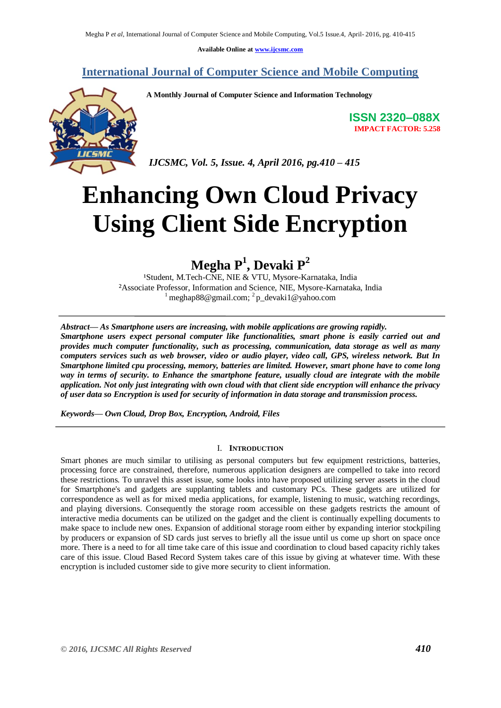**Available Online at [www.ijcsmc.com](http://www.ijcsmc.com/)**

**International Journal of Computer Science and Mobile Computing**



**A Monthly Journal of Computer Science and Information Technology**

*IJCSMC, Vol. 5, Issue. 4, April 2016, pg.410 – 415*

**ISSN 2320–088X IMPACT FACTOR: 5.258**

# **Enhancing Own Cloud Privacy Using Client Side Encryption**

## **Megha P<sup>1</sup> , Devaki P<sup>2</sup>**

<sup>1</sup>Student, M.Tech-CNE, NIE & VTU, Mysore-Karnataka, India ²Associate Professor, Information and Science, NIE, Mysore-Karnataka, India <sup>1</sup> meghap88@gmail.com; <sup>2</sup>p\_devaki1@yahoo.com

*Abstract— As Smartphone users are increasing, with mobile applications are growing rapidly. Smartphone users expect personal computer like functionalities, smart phone is easily carried out and provides much computer functionality, such as processing, communication, data storage as well as many computers services such as web browser, video or audio player, video call, GPS, wireless network. But In Smartphone limited cpu processing, memory, batteries are limited. However, smart phone have to come long way in terms of security. to Enhance the smartphone feature, usually cloud are integrate with the mobile application. Not only just integrating with own cloud with that client side encryption will enhance the privacy of user data so Encryption is used for security of information in data storage and transmission process.*

*Keywords— Own Cloud, Drop Box, Encryption, Android, Files*

## I. **INTRODUCTION**

Smart phones are much similar to utilising as personal computers but few equipment restrictions, batteries, processing force are constrained, therefore, numerous application designers are compelled to take into record these restrictions. To unravel this asset issue, some looks into have proposed utilizing server assets in the cloud for Smartphone's and gadgets are supplanting tablets and customary PCs. These gadgets are utilized for correspondence as well as for mixed media applications, for example, listening to music, watching recordings, and playing diversions. Consequently the storage room accessible on these gadgets restricts the amount of interactive media documents can be utilized on the gadget and the client is continually expelling documents to make space to include new ones. Expansion of additional storage room either by expanding interior stockpiling by producers or expansion of SD cards just serves to briefly all the issue until us come up short on space once more. There is a need to for all time take care of this issue and coordination to cloud based capacity richly takes care of this issue. Cloud Based Record System takes care of this issue by giving at whatever time. With these encryption is included customer side to give more security to client information.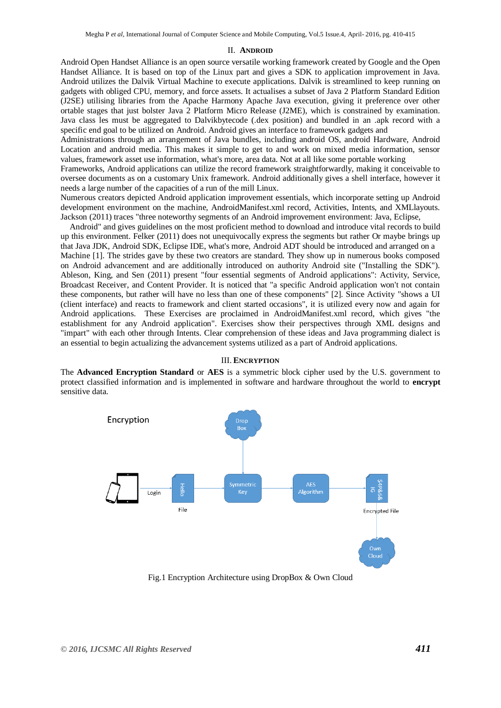#### II. **ANDROID**

Android Open Handset Alliance is an open source versatile working framework created by Google and the Open Handset Alliance. It is based on top of the Linux part and gives a SDK to application improvement in Java. Android utilizes the Dalvik Virtual Machine to execute applications. Dalvik is streamlined to keep running on gadgets with obliged CPU, memory, and force assets. It actualises a subset of Java 2 Platform Standard Edition (J2SE) utilising libraries from the Apache Harmony Apache Java execution, giving it preference over other ortable stages that just bolster Java 2 Platform Micro Release (J2ME), which is constrained by examination. Java class les must be aggregated to Dalvikbytecode (.dex position) and bundled in an .apk record with a specific end goal to be utilized on Android. Android gives an interface to framework gadgets and

Administrations through an arrangement of Java bundles, including android OS, android Hardware, Android Location and android media. This makes it simple to get to and work on mixed media information, sensor values, framework asset use information, what's more, area data. Not at all like some portable working

Frameworks, Android applications can utilize the record framework straightforwardly, making it conceivable to oversee documents as on a customary Unix framework. Android additionally gives a shell interface, however it needs a large number of the capacities of a run of the mill Linux.

Numerous creators depicted Android application improvement essentials, which incorporate setting up Android development environment on the machine, AndroidManifest.xml record, Activities, Intents, and XMLlayouts. Jackson (2011) traces "three noteworthy segments of an Android improvement environment: Java, Eclipse,

Android" and gives guidelines on the most proficient method to download and introduce vital records to build up this environment. Felker (2011) does not unequivocally express the segments but rather Or maybe brings up that Java JDK, Android SDK, Eclipse IDE, what's more, Android ADT should be introduced and arranged on a Machine [1]. The strides gave by these two creators are standard. They show up in numerous books composed on Android advancement and are additionally introduced on authority Android site ("Installing the SDK"). Ableson, King, and Sen (2011) present "four essential segments of Android applications": Activity, Service, Broadcast Receiver, and Content Provider. It is noticed that "a specific Android application won't not contain these components, but rather will have no less than one of these components" [2]. Since Activity "shows a UI (client interface) and reacts to framework and client started occasions", it is utilized every now and again for Android applications. These Exercises are proclaimed in AndroidManifest.xml record, which gives "the establishment for any Android application". Exercises show their perspectives through XML designs and "impart" with each other through Intents. Clear comprehension of these ideas and Java programming dialect is an essential to begin actualizing the advancement systems utilized as a part of Android applications.

#### III. **ENCRYPTION**

The **Advanced Encryption Standard** or **AES** is a symmetric block cipher used by the U.S. government to protect classified information and is implemented in software and hardware throughout the world to **encrypt** sensitive data.



Fig.1 Encryption Architecture using DropBox & Own Cloud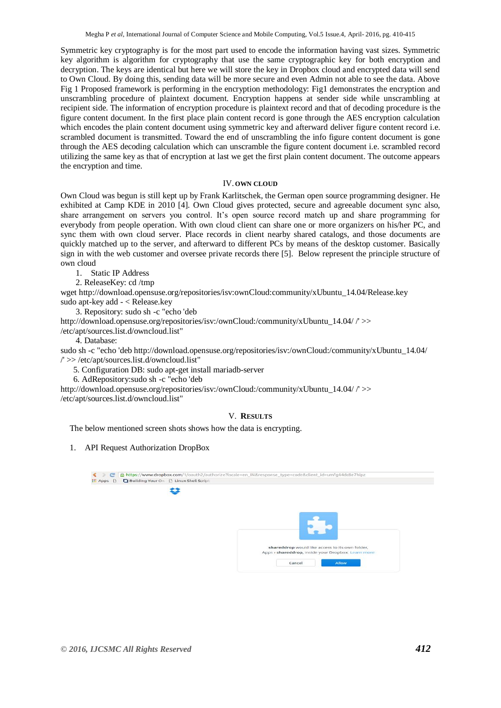Symmetric key cryptography is for the most part used to encode the information having vast sizes. Symmetric key algorithm is algorithm for cryptography that use the same cryptographic key for both encryption and decryption. The keys are identical but here we will store the key in Dropbox cloud and encrypted data will send to Own Cloud. By doing this, sending data will be more secure and even Admin not able to see the data. Above Fig 1 Proposed framework is performing in the encryption methodology: Fig1 demonstrates the encryption and unscrambling procedure of plaintext document. Encryption happens at sender side while unscrambling at recipient side. The information of encryption procedure is plaintext record and that of decoding procedure is the figure content document. In the first place plain content record is gone through the AES encryption calculation which encodes the plain content document using symmetric key and afterward deliver figure content record *i.e.* scrambled document is transmitted. Toward the end of unscrambling the info figure content document is gone through the AES decoding calculation which can unscramble the figure content document i.e. scrambled record utilizing the same key as that of encryption at last we get the first plain content document. The outcome appears the encryption and time.

#### IV. **OWN CLOUD**

Own Cloud was begun is still kept up by Frank Karlitschek, the German open source programming designer. He exhibited at Camp KDE in 2010 [4]. Own Cloud gives protected, secure and agreeable document sync also, share arrangement on servers you control. It's open source record match up and share programming for everybody from people operation. With own cloud client can share one or more organizers on his/her PC, and sync them with own cloud server. Place records in client nearby shared catalogs, and those documents are quickly matched up to the server, and afterward to different PCs by means of the desktop customer. Basically sign in with the web customer and oversee private records there [5]. Below represent the principle structure of own cloud

1. Static IP Address

2. ReleaseKey: cd /tmp

wget http://download.opensuse.org/repositories/isv:ownCloud:community/xUbuntu\_14.04/Release.key sudo apt-key add - < Release.key

3. Repository: sudo sh -c "echo 'deb

http://download.opensuse.org/repositories/isv:/ownCloud:/community/xUbuntu\_14.04/ /' >>

/etc/apt/sources.list.d/owncloud.list"

4. Database:

sudo sh -c "echo 'deb http://download.opensuse.org/repositories/isv:/ownCloud:/community/xUbuntu\_14.04/ /' >> /etc/apt/sources.list.d/owncloud.list"

5. Configuration DB: sudo apt-get install mariadb-server

6. AdRepository:sudo sh -c "echo 'deb

http://download.opensuse.org/repositories/isv:/ownCloud:/community/xUbuntu\_14.04/ /' >> /etc/apt/sources.list.d/owncloud.list"

### V. **RESULTS**

The below mentioned screen shots shows how the data is encrypting.

### 1. API Request Authorization DropBox

| <b>III</b> Apps<br>$\Box$ | Building Your Ow [3] Linux Shell Script |                                                                                                       |
|---------------------------|-----------------------------------------|-------------------------------------------------------------------------------------------------------|
|                           |                                         |                                                                                                       |
|                           |                                         |                                                                                                       |
|                           |                                         | shareddrop would like access to its own folder,<br>Apps > shareddrop, inside your Dropbox. Learn more |
|                           |                                         | Allow<br>Cancel                                                                                       |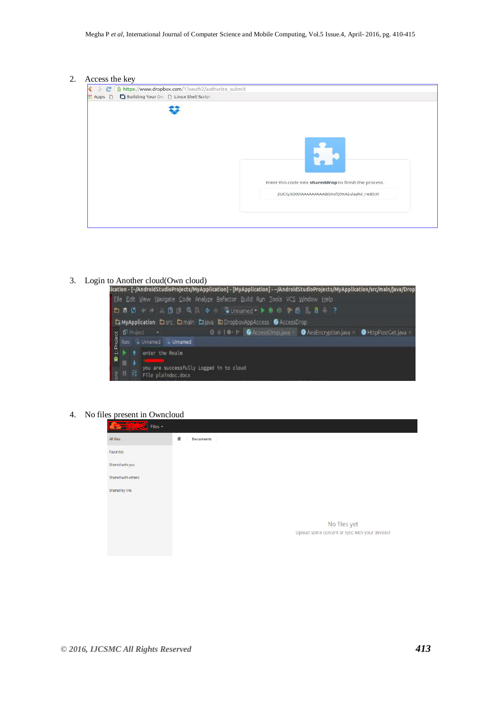#### 2. Access the key

| https://www.dropbox.com/1/oauth2/authorize_submit<br>e<br>Building Your Ow D Linux Shell Script<br>H Apps D |                                                        |
|-------------------------------------------------------------------------------------------------------------|--------------------------------------------------------|
|                                                                                                             |                                                        |
|                                                                                                             |                                                        |
|                                                                                                             |                                                        |
|                                                                                                             | Enter this code into shareddrop to finish the process. |
|                                                                                                             | 2UCSy3O00IAAAAAAAAABISKxfQ9KA2ulayRd_HeB53Y            |
|                                                                                                             |                                                        |



#### 4. No files present in Owncloud

| $\frac{1}{\sqrt{2}}$ Files $\sqrt{2}$ |                                                |
|---------------------------------------|------------------------------------------------|
| All files                             | ٠<br><b>Documents</b>                          |
| Favorites                             |                                                |
| Shared with you                       |                                                |
| Shared with others                    |                                                |
| Shared by link                        |                                                |
|                                       |                                                |
|                                       | No files yet                                   |
|                                       | Upload some content or sync with your devices! |
|                                       |                                                |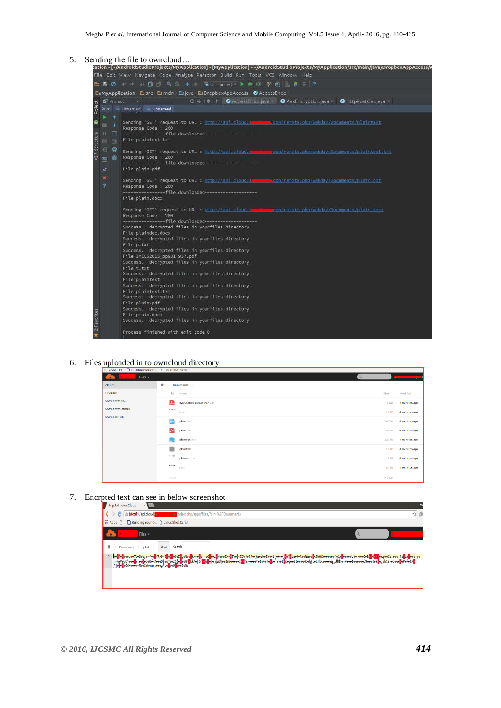

#### 6. Files uploaded in to owncloud directory

| <b>III Apps □</b>                    | <b>Building Your Ow B Linux Shell Script</b> |             |               |
|--------------------------------------|----------------------------------------------|-------------|---------------|
| Files -<br><b>A</b><br>$\bullet$     | $\alpha$                                     | <b>Bank</b> |               |
| All files                            | $\ddot{}$<br><b>Documents</b>                |             |               |
| Favorites                            | Name -                                       | Size        | Modified      |
| Shared with you                      | 囚<br>IMECS2015_pp931-937.pdf                 | 1.6 MB      | 4 minutes ago |
| Shared with others<br>Shared by link | 610444<br>p.txt                              | $< 1$ kB    | 4 minutes ago |
|                                      | E<br>plain.docx                              | 260 kB      | 4 minutes ago |
|                                      | 囚<br>plain.pdf                               | 194 kB      | 4 minutes ago |
|                                      | E<br>plaindoc.clock                          | 323 kB      | 4 minutes ago |
|                                      | plaintext                                    | $< 1$ kB    | 4 minutes ago |
|                                      | 100100<br>plaintext.txt                      | $2$ kB      | 4 minutes ago |
|                                      | $477876 +$<br>toc                            | 82 kB       | 4 minutes ago |
|                                      | s files                                      | 2.4 MB      |               |

#### 7. Encrpted text can see in below screenshot

| <b>D.Ext-ownCloud</b>                                                                                                                                                                                                                                                                                                                                                                   |  |
|-----------------------------------------------------------------------------------------------------------------------------------------------------------------------------------------------------------------------------------------------------------------------------------------------------------------------------------------------------------------------------------------|--|
| .ul/index.php/apps/files/?dir=%2FDocuments<br>x betps://api.cloud.u                                                                                                                                                                                                                                                                                                                     |  |
| <b>E</b> Apps<br>Building Your Ow [3] Linux Shell Script                                                                                                                                                                                                                                                                                                                                |  |
| Files -                                                                                                                                                                                                                                                                                                                                                                                 |  |
| Save<br>Search<br><b>Documents</b><br>p.txt                                                                                                                                                                                                                                                                                                                                             |  |
| =-meVeUq'eec <mark>l</mark> e=cc <mark>l</mark> eqe6é-7ecc6[eu^eezSle <mark>b</mark> eeUF <mark>b</mark> kk\o[6" <mark>zleb</mark> e e]@Lihoo3nzeccesElz^e>eceS*e1vReTelloe`eketbceqee2tce+e4och{UeLFbceccee,_@Bre-vece(ecccesU9cee!ez]e/yh17Nccece <mark>l</mark> ePeKetk <mark>e</mark><br>/ ]o <mark>n</mark> oDoOWXoooY+%ooCoWowo;oooq*Lo <mark>r</mark> oo9 <mark>n</mark> ooo0oWo |  |